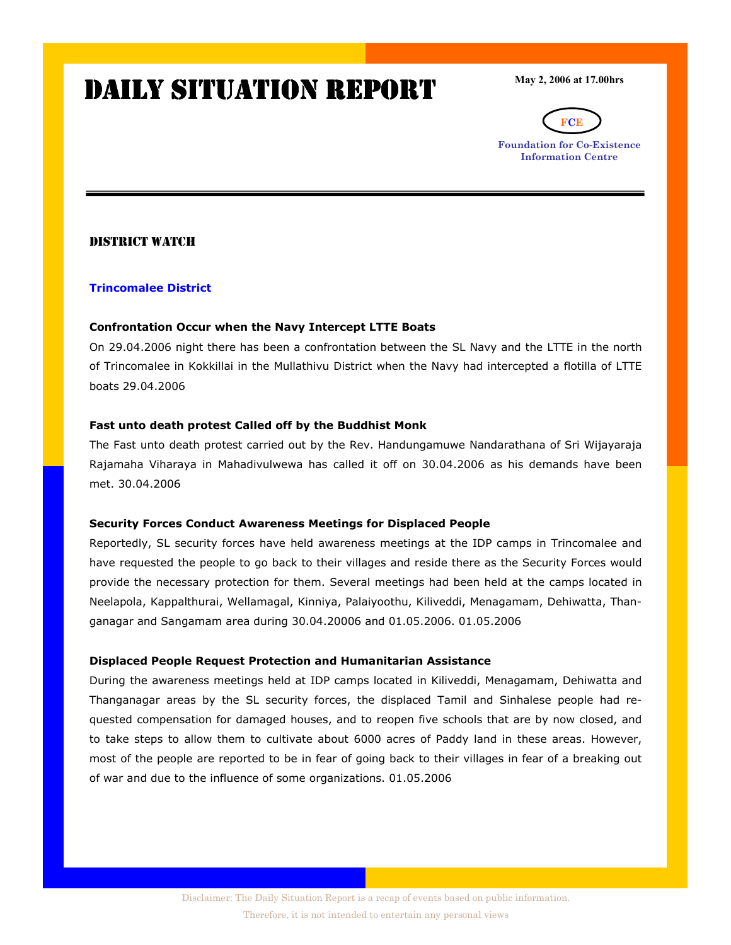# DAILY SITUATION REPORT

May 2, 2006 at 17.00hrs



Foundation for Co-Existence Information Centre

# DISTRICT WATCH

### Trincomalee District

### Confrontation Occur when the Navy Intercept LTTE Boats

On 29.04.2006 night there has been a confrontation between the SL Navy and the LTTE in the north of Trincomalee in Kokkillai in the Mullathivu District when the Navy had intercepted a flotilla of LTTE boats 29.04.2006

# Fast unto death protest Called off by the Buddhist Monk

The Fast unto death protest carried out by the Rev. Handungamuwe Nandarathana of Sri Wijayaraja Rajamaha Viharaya in Mahadivulwewa has called it off on 30.04.2006 as his demands have been met. 30.04.2006

### Security Forces Conduct Awareness Meetings for Displaced People

Reportedly, SL security forces have held awareness meetings at the IDP camps in Trincomalee and have requested the people to go back to their villages and reside there as the Security Forces would provide the necessary protection for them. Several meetings had been held at the camps located in Neelapola, Kappalthurai, Wellamagal, Kinniya, Palaiyoothu, Kiliveddi, Menagamam, Dehiwatta, Thanganagar and Sangamam area during 30.04.20006 and 01.05.2006. 01.05.2006

### Displaced People Request Protection and Humanitarian Assistance

During the awareness meetings held at IDP camps located in Kiliveddi, Menagamam, Dehiwatta and Thanganagar areas by the SL security forces, the displaced Tamil and Sinhalese people had requested compensation for damaged houses, and to reopen five schools that are by now closed, and to take steps to allow them to cultivate about 6000 acres of Paddy land in these areas. However, most of the people are reported to be in fear of going back to their villages in fear of a breaking out of war and due to the influence of some organizations. 01.05.2006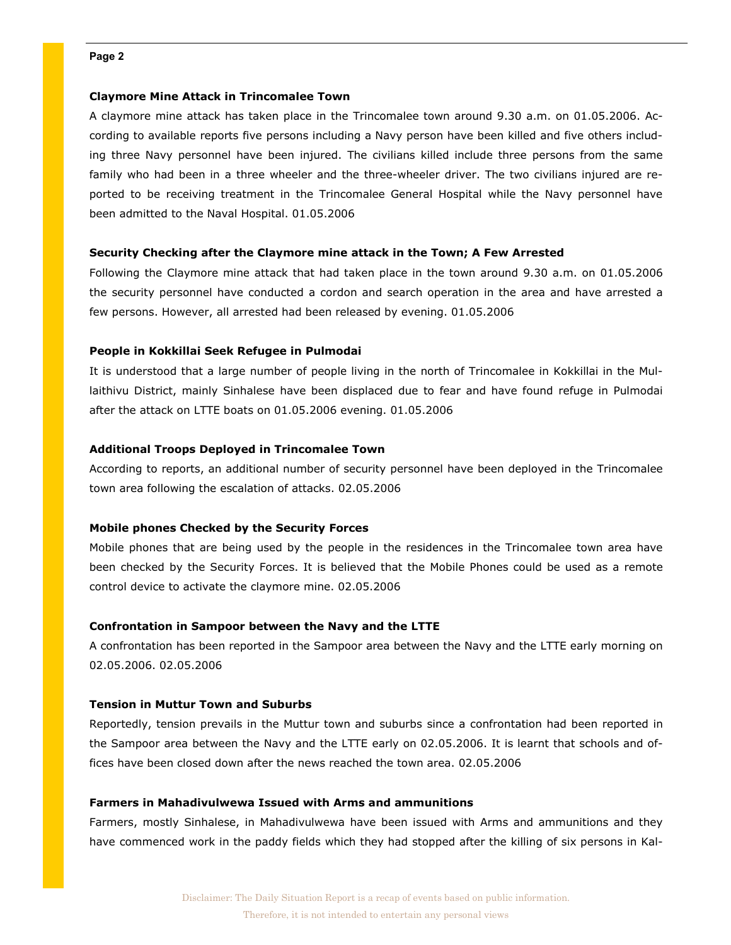### Claymore Mine Attack in Trincomalee Town

A claymore mine attack has taken place in the Trincomalee town around 9.30 a.m. on 01.05.2006. According to available reports five persons including a Navy person have been killed and five others including three Navy personnel have been injured. The civilians killed include three persons from the same family who had been in a three wheeler and the three-wheeler driver. The two civilians injured are reported to be receiving treatment in the Trincomalee General Hospital while the Navy personnel have been admitted to the Naval Hospital. 01.05.2006

### Security Checking after the Claymore mine attack in the Town; A Few Arrested

Following the Claymore mine attack that had taken place in the town around 9.30 a.m. on 01.05.2006 the security personnel have conducted a cordon and search operation in the area and have arrested a few persons. However, all arrested had been released by evening. 01.05.2006

### People in Kokkillai Seek Refugee in Pulmodai

It is understood that a large number of people living in the north of Trincomalee in Kokkillai in the Mullaithivu District, mainly Sinhalese have been displaced due to fear and have found refuge in Pulmodai after the attack on LTTE boats on 01.05.2006 evening. 01.05.2006

### Additional Troops Deployed in Trincomalee Town

According to reports, an additional number of security personnel have been deployed in the Trincomalee town area following the escalation of attacks. 02.05.2006

### Mobile phones Checked by the Security Forces

Mobile phones that are being used by the people in the residences in the Trincomalee town area have been checked by the Security Forces. It is believed that the Mobile Phones could be used as a remote control device to activate the claymore mine. 02.05.2006

### Confrontation in Sampoor between the Navy and the LTTE

A confrontation has been reported in the Sampoor area between the Navy and the LTTE early morning on 02.05.2006. 02.05.2006

#### Tension in Muttur Town and Suburbs

Reportedly, tension prevails in the Muttur town and suburbs since a confrontation had been reported in the Sampoor area between the Navy and the LTTE early on 02.05.2006. It is learnt that schools and offices have been closed down after the news reached the town area. 02.05.2006

### Farmers in Mahadivulwewa Issued with Arms and ammunitions

Farmers, mostly Sinhalese, in Mahadivulwewa have been issued with Arms and ammunitions and they have commenced work in the paddy fields which they had stopped after the killing of six persons in Kal-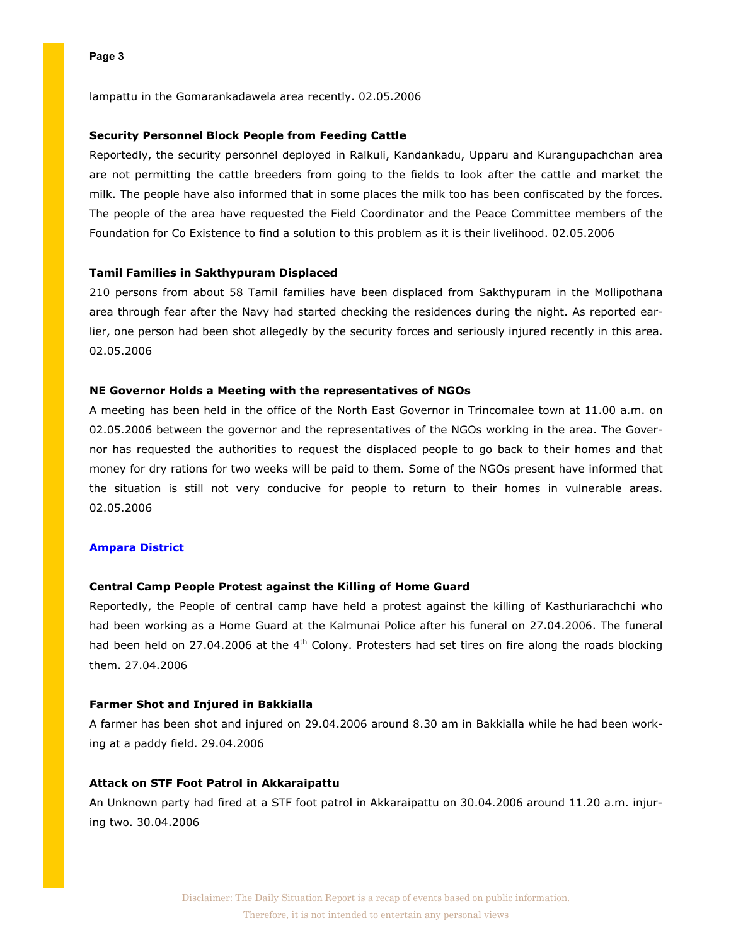lampattu in the Gomarankadawela area recently. 02.05.2006

### Security Personnel Block People from Feeding Cattle

Reportedly, the security personnel deployed in Ralkuli, Kandankadu, Upparu and Kurangupachchan area are not permitting the cattle breeders from going to the fields to look after the cattle and market the milk. The people have also informed that in some places the milk too has been confiscated by the forces. The people of the area have requested the Field Coordinator and the Peace Committee members of the Foundation for Co Existence to find a solution to this problem as it is their livelihood. 02.05.2006

### Tamil Families in Sakthypuram Displaced

210 persons from about 58 Tamil families have been displaced from Sakthypuram in the Mollipothana area through fear after the Navy had started checking the residences during the night. As reported earlier, one person had been shot allegedly by the security forces and seriously injured recently in this area. 02.05.2006

### NE Governor Holds a Meeting with the representatives of NGOs

A meeting has been held in the office of the North East Governor in Trincomalee town at 11.00 a.m. on 02.05.2006 between the governor and the representatives of the NGOs working in the area. The Governor has requested the authorities to request the displaced people to go back to their homes and that money for dry rations for two weeks will be paid to them. Some of the NGOs present have informed that the situation is still not very conducive for people to return to their homes in vulnerable areas. 02.05.2006

#### Ampara District

### Central Camp People Protest against the Killing of Home Guard

Reportedly, the People of central camp have held a protest against the killing of Kasthuriarachchi who had been working as a Home Guard at the Kalmunai Police after his funeral on 27.04.2006. The funeral had been held on 27.04.2006 at the 4<sup>th</sup> Colony. Protesters had set tires on fire along the roads blocking them. 27.04.2006

#### Farmer Shot and Injured in Bakkialla

A farmer has been shot and injured on 29.04.2006 around 8.30 am in Bakkialla while he had been working at a paddy field. 29.04.2006

### Attack on STF Foot Patrol in Akkaraipattu

An Unknown party had fired at a STF foot patrol in Akkaraipattu on 30.04.2006 around 11.20 a.m. injuring two. 30.04.2006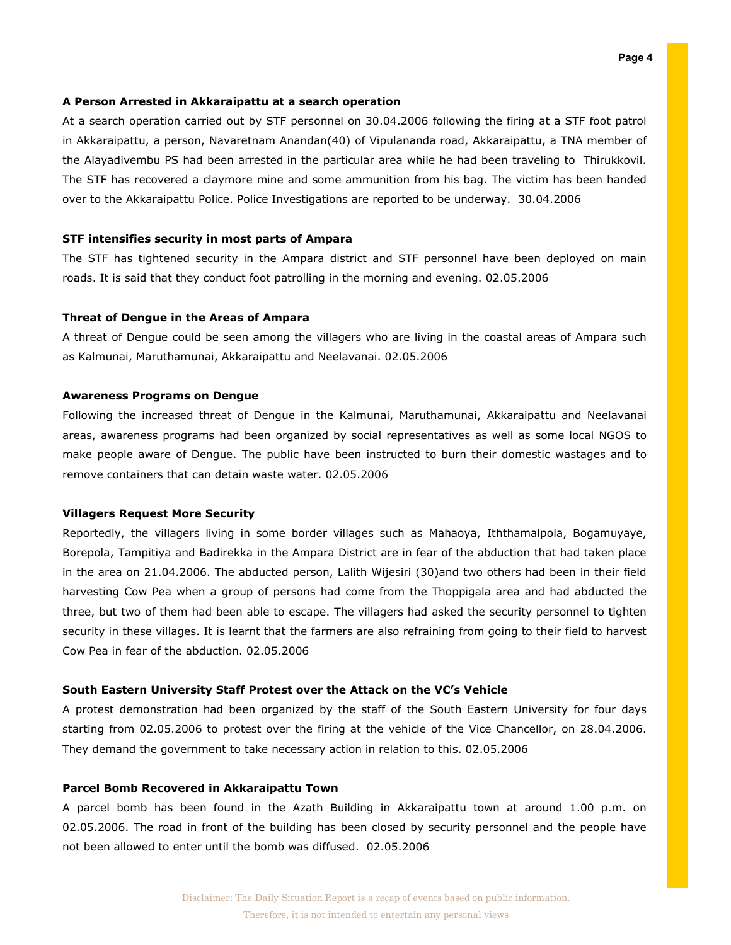### A Person Arrested in Akkaraipattu at a search operation

At a search operation carried out by STF personnel on 30.04.2006 following the firing at a STF foot patrol in Akkaraipattu, a person, Navaretnam Anandan(40) of Vipulananda road, Akkaraipattu, a TNA member of the Alayadivembu PS had been arrested in the particular area while he had been traveling to Thirukkovil. The STF has recovered a claymore mine and some ammunition from his bag. The victim has been handed over to the Akkaraipattu Police. Police Investigations are reported to be underway. 30.04.2006

### STF intensifies security in most parts of Ampara

The STF has tightened security in the Ampara district and STF personnel have been deployed on main roads. It is said that they conduct foot patrolling in the morning and evening. 02.05.2006

#### Threat of Dengue in the Areas of Ampara

A threat of Dengue could be seen among the villagers who are living in the coastal areas of Ampara such as Kalmunai, Maruthamunai, Akkaraipattu and Neelavanai. 02.05.2006

### Awareness Programs on Dengue

Following the increased threat of Dengue in the Kalmunai, Maruthamunai, Akkaraipattu and Neelavanai areas, awareness programs had been organized by social representatives as well as some local NGOS to make people aware of Dengue. The public have been instructed to burn their domestic wastages and to remove containers that can detain waste water. 02.05.2006

#### Villagers Request More Security

Reportedly, the villagers living in some border villages such as Mahaoya, Iththamalpola, Bogamuyaye, Borepola, Tampitiya and Badirekka in the Ampara District are in fear of the abduction that had taken place in the area on 21.04.2006. The abducted person, Lalith Wijesiri (30)and two others had been in their field harvesting Cow Pea when a group of persons had come from the Thoppigala area and had abducted the three, but two of them had been able to escape. The villagers had asked the security personnel to tighten security in these villages. It is learnt that the farmers are also refraining from going to their field to harvest Cow Pea in fear of the abduction. 02.05.2006

### South Eastern University Staff Protest over the Attack on the VC's Vehicle

A protest demonstration had been organized by the staff of the South Eastern University for four days starting from 02.05.2006 to protest over the firing at the vehicle of the Vice Chancellor, on 28.04.2006. They demand the government to take necessary action in relation to this. 02.05.2006

### Parcel Bomb Recovered in Akkaraipattu Town

A parcel bomb has been found in the Azath Building in Akkaraipattu town at around 1.00 p.m. on 02.05.2006. The road in front of the building has been closed by security personnel and the people have not been allowed to enter until the bomb was diffused. 02.05.2006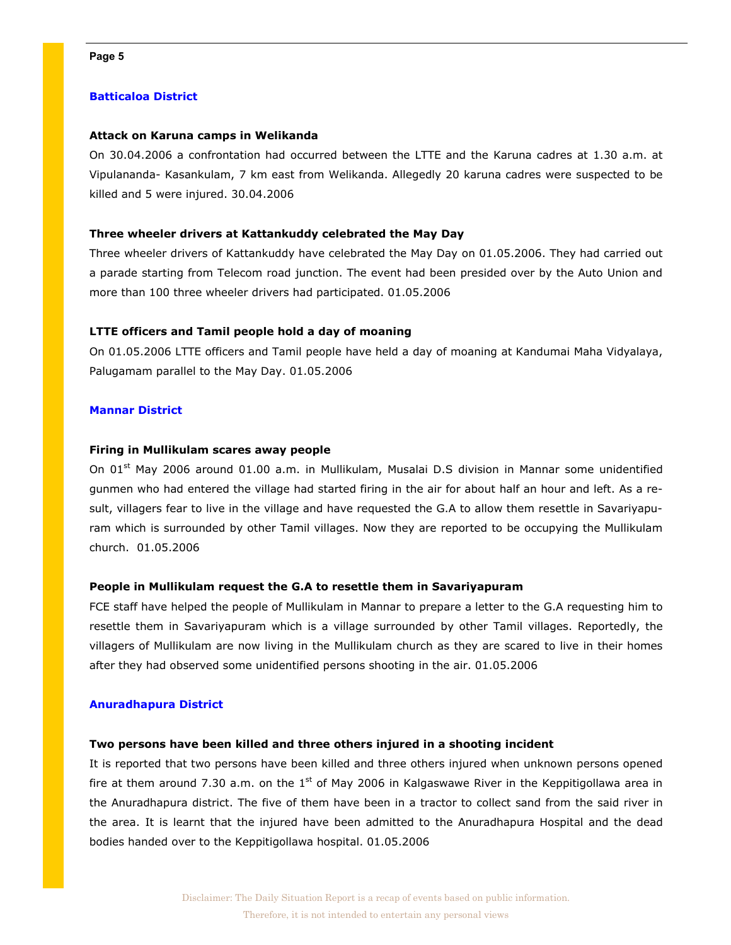# Batticaloa District

### Attack on Karuna camps in Welikanda

On 30.04.2006 a confrontation had occurred between the LTTE and the Karuna cadres at 1.30 a.m. at Vipulananda- Kasankulam, 7 km east from Welikanda. Allegedly 20 karuna cadres were suspected to be killed and 5 were injured. 30.04.2006

### Three wheeler drivers at Kattankuddy celebrated the May Day

Three wheeler drivers of Kattankuddy have celebrated the May Day on 01.05.2006. They had carried out a parade starting from Telecom road junction. The event had been presided over by the Auto Union and more than 100 three wheeler drivers had participated. 01.05.2006

### LTTE officers and Tamil people hold a day of moaning

On 01.05.2006 LTTE officers and Tamil people have held a day of moaning at Kandumai Maha Vidyalaya, Palugamam parallel to the May Day. 01.05.2006

### Mannar District

### Firing in Mullikulam scares away people

On 01<sup>st</sup> May 2006 around 01.00 a.m. in Mullikulam, Musalai D.S division in Mannar some unidentified gunmen who had entered the village had started firing in the air for about half an hour and left. As a result, villagers fear to live in the village and have requested the G.A to allow them resettle in Savariyapuram which is surrounded by other Tamil villages. Now they are reported to be occupying the Mullikulam church. 01.05.2006

### People in Mullikulam request the G.A to resettle them in Savariyapuram

FCE staff have helped the people of Mullikulam in Mannar to prepare a letter to the G.A requesting him to resettle them in Savariyapuram which is a village surrounded by other Tamil villages. Reportedly, the villagers of Mullikulam are now living in the Mullikulam church as they are scared to live in their homes after they had observed some unidentified persons shooting in the air. 01.05.2006

### Anuradhapura District

### Two persons have been killed and three others injured in a shooting incident

It is reported that two persons have been killed and three others injured when unknown persons opened fire at them around 7.30 a.m. on the  $1<sup>st</sup>$  of May 2006 in Kalgaswawe River in the Keppitigollawa area in the Anuradhapura district. The five of them have been in a tractor to collect sand from the said river in the area. It is learnt that the injured have been admitted to the Anuradhapura Hospital and the dead bodies handed over to the Keppitigollawa hospital. 01.05.2006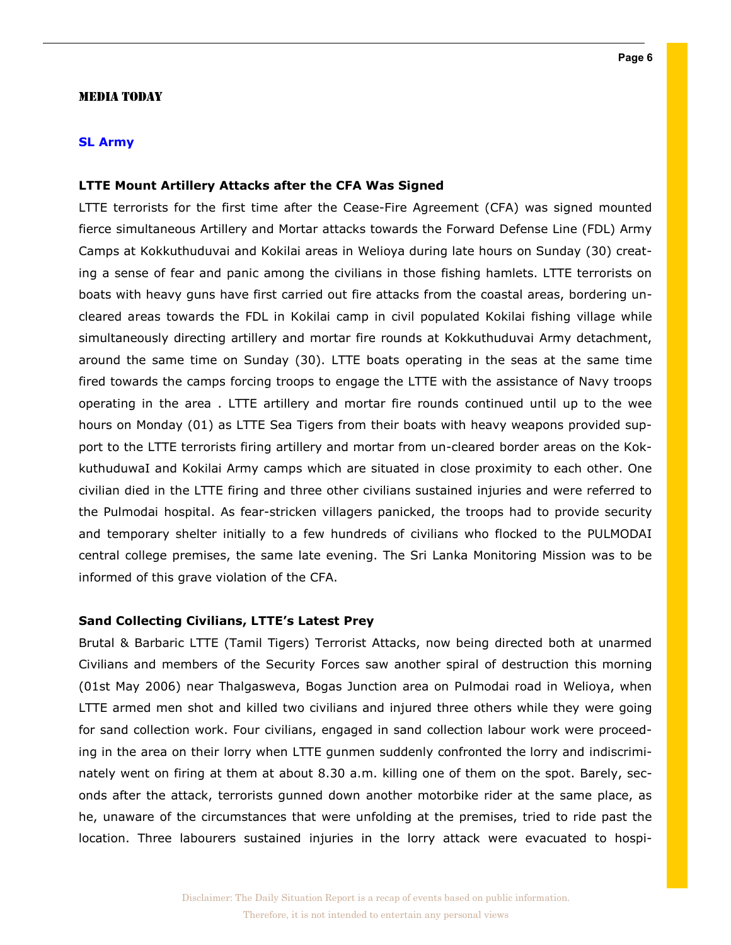### MEDIA TODAY

# SL Army

# LTTE Mount Artillery Attacks after the CFA Was Signed

LTTE terrorists for the first time after the Cease-Fire Agreement (CFA) was signed mounted fierce simultaneous Artillery and Mortar attacks towards the Forward Defense Line (FDL) Army Camps at Kokkuthuduvai and Kokilai areas in Welioya during late hours on Sunday (30) creating a sense of fear and panic among the civilians in those fishing hamlets. LTTE terrorists on boats with heavy guns have first carried out fire attacks from the coastal areas, bordering uncleared areas towards the FDL in Kokilai camp in civil populated Kokilai fishing village while simultaneously directing artillery and mortar fire rounds at Kokkuthuduvai Army detachment, around the same time on Sunday (30). LTTE boats operating in the seas at the same time fired towards the camps forcing troops to engage the LTTE with the assistance of Navy troops operating in the area . LTTE artillery and mortar fire rounds continued until up to the wee hours on Monday (01) as LTTE Sea Tigers from their boats with heavy weapons provided support to the LTTE terrorists firing artillery and mortar from un-cleared border areas on the KokkuthuduwaI and Kokilai Army camps which are situated in close proximity to each other. One civilian died in the LTTE firing and three other civilians sustained injuries and were referred to the Pulmodai hospital. As fear-stricken villagers panicked, the troops had to provide security and temporary shelter initially to a few hundreds of civilians who flocked to the PULMODAI central college premises, the same late evening. The Sri Lanka Monitoring Mission was to be informed of this grave violation of the CFA.

### Sand Collecting Civilians, LTTE's Latest Prey

Brutal & Barbaric LTTE (Tamil Tigers) Terrorist Attacks, now being directed both at unarmed Civilians and members of the Security Forces saw another spiral of destruction this morning (01st May 2006) near Thalgasweva, Bogas Junction area on Pulmodai road in Welioya, when LTTE armed men shot and killed two civilians and injured three others while they were going for sand collection work. Four civilians, engaged in sand collection labour work were proceeding in the area on their lorry when LTTE gunmen suddenly confronted the lorry and indiscriminately went on firing at them at about 8.30 a.m. killing one of them on the spot. Barely, seconds after the attack, terrorists gunned down another motorbike rider at the same place, as he, unaware of the circumstances that were unfolding at the premises, tried to ride past the location. Three labourers sustained injuries in the lorry attack were evacuated to hospi-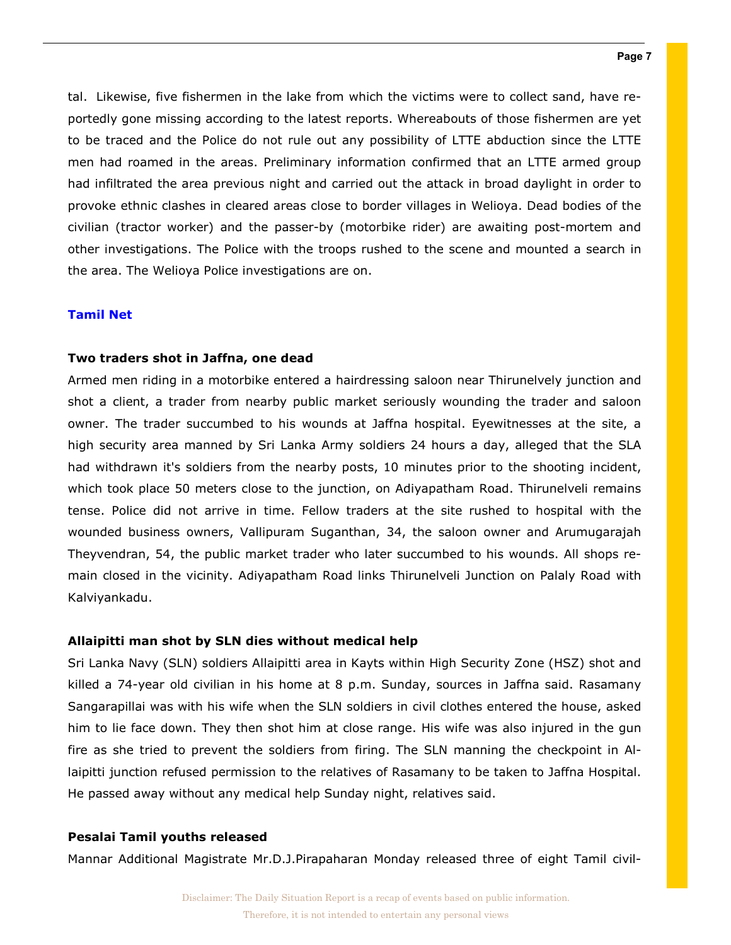tal. Likewise, five fishermen in the lake from which the victims were to collect sand, have reportedly gone missing according to the latest reports. Whereabouts of those fishermen are yet to be traced and the Police do not rule out any possibility of LTTE abduction since the LTTE men had roamed in the areas. Preliminary information confirmed that an LTTE armed group had infiltrated the area previous night and carried out the attack in broad daylight in order to provoke ethnic clashes in cleared areas close to border villages in Welioya. Dead bodies of the civilian (tractor worker) and the passer-by (motorbike rider) are awaiting post-mortem and other investigations. The Police with the troops rushed to the scene and mounted a search in the area. The Welioya Police investigations are on.

# Tamil Net

### Two traders shot in Jaffna, one dead

Armed men riding in a motorbike entered a hairdressing saloon near Thirunelvely junction and shot a client, a trader from nearby public market seriously wounding the trader and saloon owner. The trader succumbed to his wounds at Jaffna hospital. Eyewitnesses at the site, a high security area manned by Sri Lanka Army soldiers 24 hours a day, alleged that the SLA had withdrawn it's soldiers from the nearby posts, 10 minutes prior to the shooting incident, which took place 50 meters close to the junction, on Adiyapatham Road. Thirunelveli remains tense. Police did not arrive in time. Fellow traders at the site rushed to hospital with the wounded business owners, Vallipuram Suganthan, 34, the saloon owner and Arumugarajah Theyvendran, 54, the public market trader who later succumbed to his wounds. All shops remain closed in the vicinity. Adiyapatham Road links Thirunelveli Junction on Palaly Road with Kalviyankadu.

### Allaipitti man shot by SLN dies without medical help

Sri Lanka Navy (SLN) soldiers Allaipitti area in Kayts within High Security Zone (HSZ) shot and killed a 74-year old civilian in his home at 8 p.m. Sunday, sources in Jaffna said. Rasamany Sangarapillai was with his wife when the SLN soldiers in civil clothes entered the house, asked him to lie face down. They then shot him at close range. His wife was also injured in the gun fire as she tried to prevent the soldiers from firing. The SLN manning the checkpoint in Allaipitti junction refused permission to the relatives of Rasamany to be taken to Jaffna Hospital. He passed away without any medical help Sunday night, relatives said.

# Pesalai Tamil youths released

Mannar Additional Magistrate Mr.D.J.Pirapaharan Monday released three of eight Tamil civil-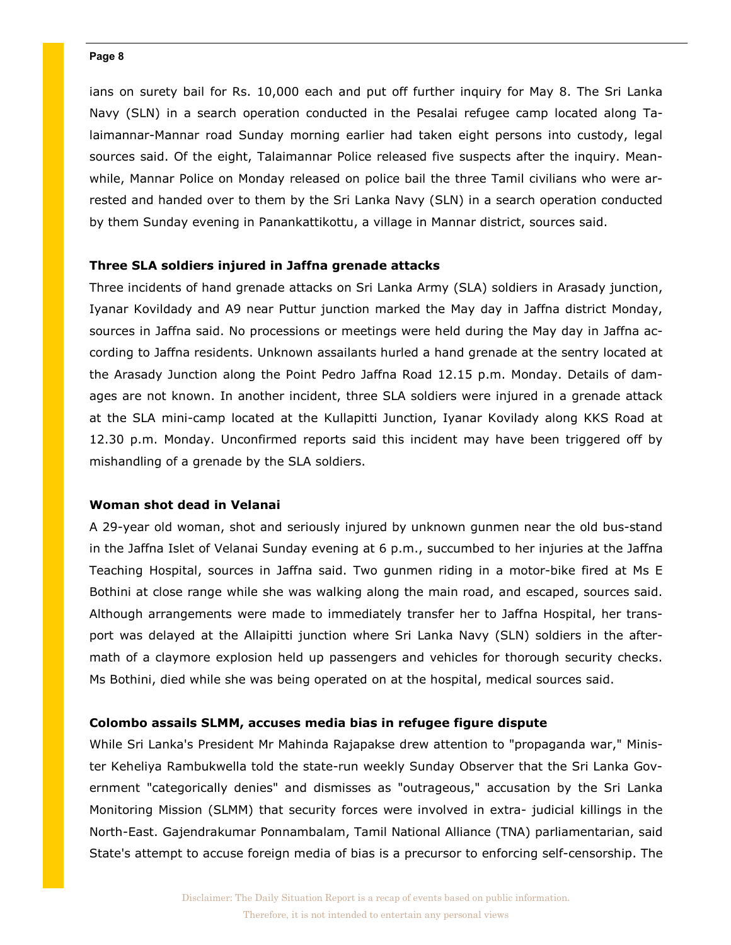ians on surety bail for Rs. 10,000 each and put off further inquiry for May 8. The Sri Lanka Navy (SLN) in a search operation conducted in the Pesalai refugee camp located along Talaimannar-Mannar road Sunday morning earlier had taken eight persons into custody, legal sources said. Of the eight, Talaimannar Police released five suspects after the inquiry. Meanwhile, Mannar Police on Monday released on police bail the three Tamil civilians who were arrested and handed over to them by the Sri Lanka Navy (SLN) in a search operation conducted by them Sunday evening in Panankattikottu, a village in Mannar district, sources said.

# Three SLA soldiers injured in Jaffna grenade attacks

Three incidents of hand grenade attacks on Sri Lanka Army (SLA) soldiers in Arasady junction, Iyanar Kovildady and A9 near Puttur junction marked the May day in Jaffna district Monday, sources in Jaffna said. No processions or meetings were held during the May day in Jaffna according to Jaffna residents. Unknown assailants hurled a hand grenade at the sentry located at the Arasady Junction along the Point Pedro Jaffna Road 12.15 p.m. Monday. Details of damages are not known. In another incident, three SLA soldiers were injured in a grenade attack at the SLA mini-camp located at the Kullapitti Junction, Iyanar Kovilady along KKS Road at 12.30 p.m. Monday. Unconfirmed reports said this incident may have been triggered off by mishandling of a grenade by the SLA soldiers.

# Woman shot dead in Velanai

A 29-year old woman, shot and seriously injured by unknown gunmen near the old bus-stand in the Jaffna Islet of Velanai Sunday evening at 6 p.m., succumbed to her injuries at the Jaffna Teaching Hospital, sources in Jaffna said. Two gunmen riding in a motor-bike fired at Ms E Bothini at close range while she was walking along the main road, and escaped, sources said. Although arrangements were made to immediately transfer her to Jaffna Hospital, her transport was delayed at the Allaipitti junction where Sri Lanka Navy (SLN) soldiers in the aftermath of a claymore explosion held up passengers and vehicles for thorough security checks. Ms Bothini, died while she was being operated on at the hospital, medical sources said.

# Colombo assails SLMM, accuses media bias in refugee figure dispute

While Sri Lanka's President Mr Mahinda Rajapakse drew attention to "propaganda war," Minister Keheliya Rambukwella told the state-run weekly Sunday Observer that the Sri Lanka Government "categorically denies" and dismisses as "outrageous," accusation by the Sri Lanka Monitoring Mission (SLMM) that security forces were involved in extra- judicial killings in the North-East. Gajendrakumar Ponnambalam, Tamil National Alliance (TNA) parliamentarian, said State's attempt to accuse foreign media of bias is a precursor to enforcing self-censorship. The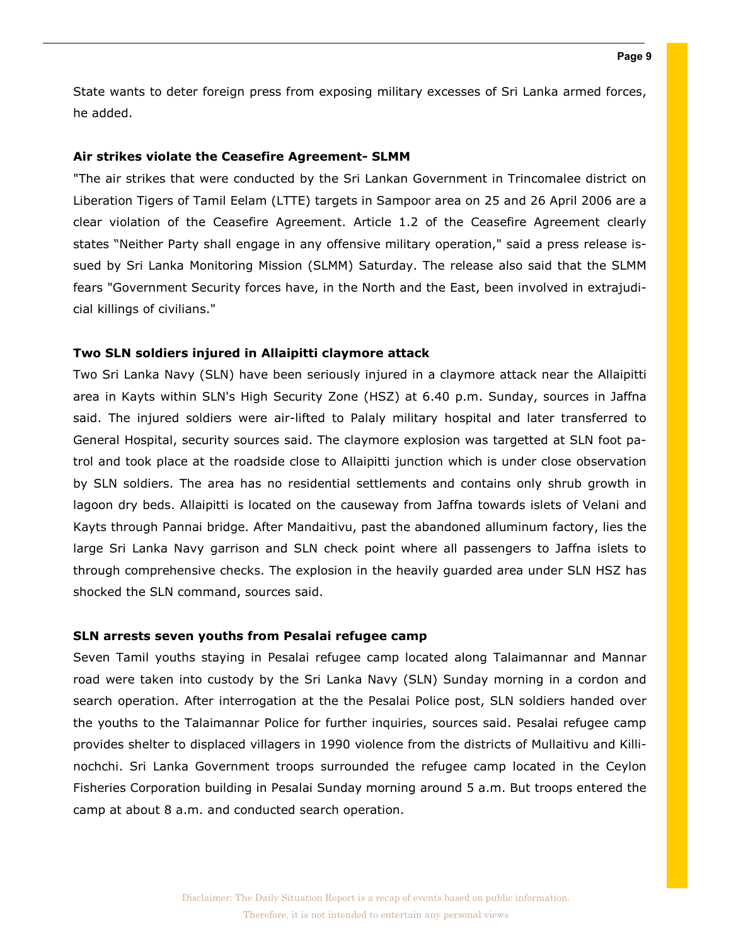State wants to deter foreign press from exposing military excesses of Sri Lanka armed forces, he added.

# Air strikes violate the Ceasefire Agreement- SLMM

"The air strikes that were conducted by the Sri Lankan Government in Trincomalee district on Liberation Tigers of Tamil Eelam (LTTE) targets in Sampoor area on 25 and 26 April 2006 are a clear violation of the Ceasefire Agreement. Article 1.2 of the Ceasefire Agreement clearly states "Neither Party shall engage in any offensive military operation," said a press release issued by Sri Lanka Monitoring Mission (SLMM) Saturday. The release also said that the SLMM fears "Government Security forces have, in the North and the East, been involved in extrajudicial killings of civilians."

# Two SLN soldiers injured in Allaipitti claymore attack

Two Sri Lanka Navy (SLN) have been seriously injured in a claymore attack near the Allaipitti area in Kayts within SLN's High Security Zone (HSZ) at 6.40 p.m. Sunday, sources in Jaffna said. The injured soldiers were air-lifted to Palaly military hospital and later transferred to General Hospital, security sources said. The claymore explosion was targetted at SLN foot patrol and took place at the roadside close to Allaipitti junction which is under close observation by SLN soldiers. The area has no residential settlements and contains only shrub growth in lagoon dry beds. Allaipitti is located on the causeway from Jaffna towards islets of Velani and Kayts through Pannai bridge. After Mandaitivu, past the abandoned alluminum factory, lies the large Sri Lanka Navy garrison and SLN check point where all passengers to Jaffna islets to through comprehensive checks. The explosion in the heavily guarded area under SLN HSZ has shocked the SLN command, sources said.

### SLN arrests seven youths from Pesalai refugee camp

Seven Tamil youths staying in Pesalai refugee camp located along Talaimannar and Mannar road were taken into custody by the Sri Lanka Navy (SLN) Sunday morning in a cordon and search operation. After interrogation at the the Pesalai Police post, SLN soldiers handed over the youths to the Talaimannar Police for further inquiries, sources said. Pesalai refugee camp provides shelter to displaced villagers in 1990 violence from the districts of Mullaitivu and Killinochchi. Sri Lanka Government troops surrounded the refugee camp located in the Ceylon Fisheries Corporation building in Pesalai Sunday morning around 5 a.m. But troops entered the camp at about 8 a.m. and conducted search operation.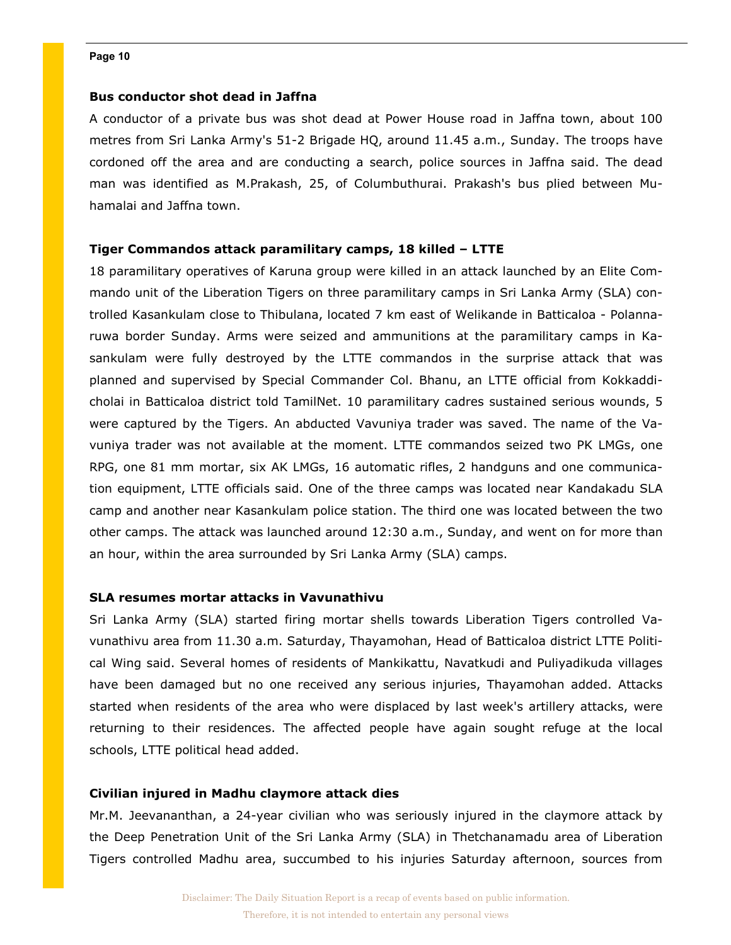# Bus conductor shot dead in Jaffna

A conductor of a private bus was shot dead at Power House road in Jaffna town, about 100 metres from Sri Lanka Army's 51-2 Brigade HQ, around 11.45 a.m., Sunday. The troops have cordoned off the area and are conducting a search, police sources in Jaffna said. The dead man was identified as M.Prakash, 25, of Columbuthurai. Prakash's bus plied between Muhamalai and Jaffna town.

# Tiger Commandos attack paramilitary camps, 18 killed – LTTE

18 paramilitary operatives of Karuna group were killed in an attack launched by an Elite Commando unit of the Liberation Tigers on three paramilitary camps in Sri Lanka Army (SLA) controlled Kasankulam close to Thibulana, located 7 km east of Welikande in Batticaloa - Polannaruwa border Sunday. Arms were seized and ammunitions at the paramilitary camps in Kasankulam were fully destroyed by the LTTE commandos in the surprise attack that was planned and supervised by Special Commander Col. Bhanu, an LTTE official from Kokkaddicholai in Batticaloa district told TamilNet. 10 paramilitary cadres sustained serious wounds, 5 were captured by the Tigers. An abducted Vavuniya trader was saved. The name of the Vavuniya trader was not available at the moment. LTTE commandos seized two PK LMGs, one RPG, one 81 mm mortar, six AK LMGs, 16 automatic rifles, 2 handguns and one communication equipment, LTTE officials said. One of the three camps was located near Kandakadu SLA camp and another near Kasankulam police station. The third one was located between the two other camps. The attack was launched around 12:30 a.m., Sunday, and went on for more than an hour, within the area surrounded by Sri Lanka Army (SLA) camps.

# SLA resumes mortar attacks in Vavunathivu

Sri Lanka Army (SLA) started firing mortar shells towards Liberation Tigers controlled Vavunathivu area from 11.30 a.m. Saturday, Thayamohan, Head of Batticaloa district LTTE Political Wing said. Several homes of residents of Mankikattu, Navatkudi and Puliyadikuda villages have been damaged but no one received any serious injuries, Thayamohan added. Attacks started when residents of the area who were displaced by last week's artillery attacks, were returning to their residences. The affected people have again sought refuge at the local schools, LTTE political head added.

# Civilian injured in Madhu claymore attack dies

Mr.M. Jeevananthan, a 24-year civilian who was seriously injured in the claymore attack by the Deep Penetration Unit of the Sri Lanka Army (SLA) in Thetchanamadu area of Liberation Tigers controlled Madhu area, succumbed to his injuries Saturday afternoon, sources from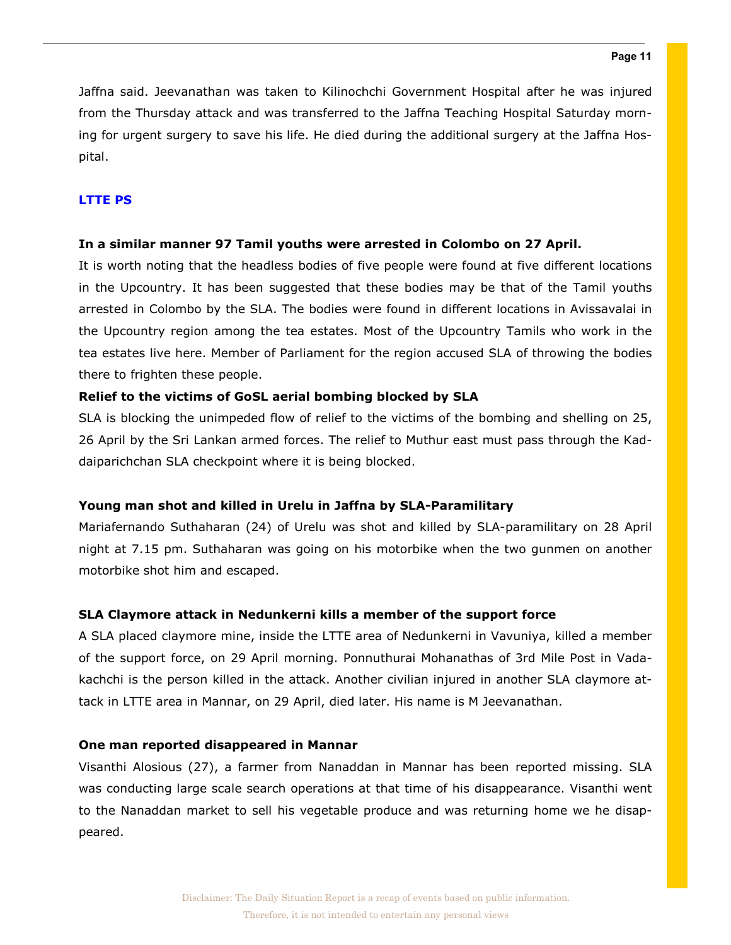Jaffna said. Jeevanathan was taken to Kilinochchi Government Hospital after he was injured from the Thursday attack and was transferred to the Jaffna Teaching Hospital Saturday morning for urgent surgery to save his life. He died during the additional surgery at the Jaffna Hospital.

# LTTE PS

# In a similar manner 97 Tamil youths were arrested in Colombo on 27 April.

It is worth noting that the headless bodies of five people were found at five different locations in the Upcountry. It has been suggested that these bodies may be that of the Tamil youths arrested in Colombo by the SLA. The bodies were found in different locations in Avissavalai in the Upcountry region among the tea estates. Most of the Upcountry Tamils who work in the tea estates live here. Member of Parliament for the region accused SLA of throwing the bodies there to frighten these people.

# Relief to the victims of GoSL aerial bombing blocked by SLA

SLA is blocking the unimpeded flow of relief to the victims of the bombing and shelling on 25, 26 April by the Sri Lankan armed forces. The relief to Muthur east must pass through the Kaddaiparichchan SLA checkpoint where it is being blocked.

# Young man shot and killed in Urelu in Jaffna by SLA-Paramilitary

Mariafernando Suthaharan (24) of Urelu was shot and killed by SLA-paramilitary on 28 April night at 7.15 pm. Suthaharan was going on his motorbike when the two gunmen on another motorbike shot him and escaped.

# SLA Claymore attack in Nedunkerni kills a member of the support force

A SLA placed claymore mine, inside the LTTE area of Nedunkerni in Vavuniya, killed a member of the support force, on 29 April morning. Ponnuthurai Mohanathas of 3rd Mile Post in Vadakachchi is the person killed in the attack. Another civilian injured in another SLA claymore attack in LTTE area in Mannar, on 29 April, died later. His name is M Jeevanathan.

# One man reported disappeared in Mannar

Visanthi Alosious (27), a farmer from Nanaddan in Mannar has been reported missing. SLA was conducting large scale search operations at that time of his disappearance. Visanthi went to the Nanaddan market to sell his vegetable produce and was returning home we he disappeared.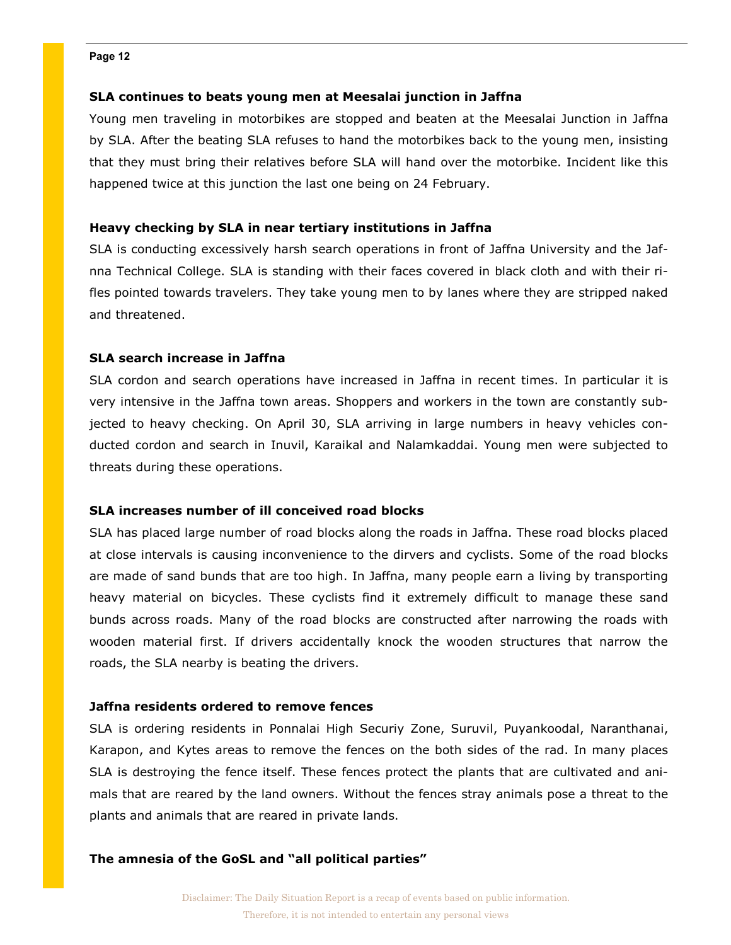# SLA continues to beats young men at Meesalai junction in Jaffna

Young men traveling in motorbikes are stopped and beaten at the Meesalai Junction in Jaffna by SLA. After the beating SLA refuses to hand the motorbikes back to the young men, insisting that they must bring their relatives before SLA will hand over the motorbike. Incident like this happened twice at this junction the last one being on 24 February.

# Heavy checking by SLA in near tertiary institutions in Jaffna

SLA is conducting excessively harsh search operations in front of Jaffna University and the Jafnna Technical College. SLA is standing with their faces covered in black cloth and with their rifles pointed towards travelers. They take young men to by lanes where they are stripped naked and threatened.

# SLA search increase in Jaffna

SLA cordon and search operations have increased in Jaffna in recent times. In particular it is very intensive in the Jaffna town areas. Shoppers and workers in the town are constantly subjected to heavy checking. On April 30, SLA arriving in large numbers in heavy vehicles conducted cordon and search in Inuvil, Karaikal and Nalamkaddai. Young men were subjected to threats during these operations.

# SLA increases number of ill conceived road blocks

SLA has placed large number of road blocks along the roads in Jaffna. These road blocks placed at close intervals is causing inconvenience to the dirvers and cyclists. Some of the road blocks are made of sand bunds that are too high. In Jaffna, many people earn a living by transporting heavy material on bicycles. These cyclists find it extremely difficult to manage these sand bunds across roads. Many of the road blocks are constructed after narrowing the roads with wooden material first. If drivers accidentally knock the wooden structures that narrow the roads, the SLA nearby is beating the drivers.

# Jaffna residents ordered to remove fences

SLA is ordering residents in Ponnalai High Securiy Zone, Suruvil, Puyankoodal, Naranthanai, Karapon, and Kytes areas to remove the fences on the both sides of the rad. In many places SLA is destroying the fence itself. These fences protect the plants that are cultivated and animals that are reared by the land owners. Without the fences stray animals pose a threat to the plants and animals that are reared in private lands.

# The amnesia of the GoSL and "all political parties"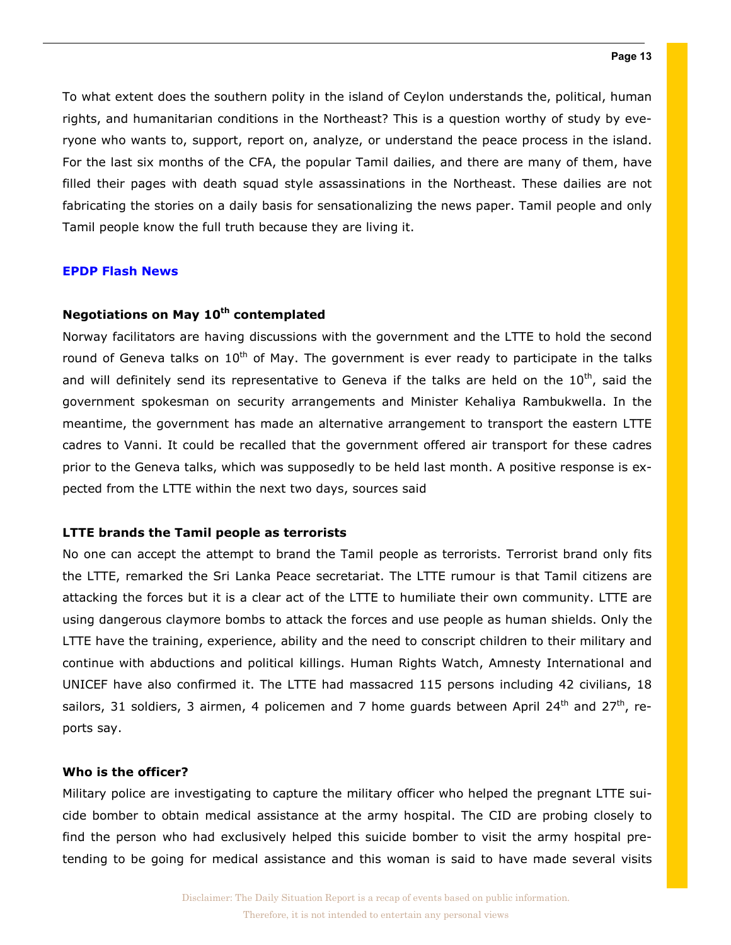To what extent does the southern polity in the island of Ceylon understands the, political, human rights, and humanitarian conditions in the Northeast? This is a question worthy of study by everyone who wants to, support, report on, analyze, or understand the peace process in the island. For the last six months of the CFA, the popular Tamil dailies, and there are many of them, have filled their pages with death squad style assassinations in the Northeast. These dailies are not fabricating the stories on a daily basis for sensationalizing the news paper. Tamil people and only Tamil people know the full truth because they are living it.

### EPDP Flash News

# Negotiations on May 10<sup>th</sup> contemplated

Norway facilitators are having discussions with the government and the LTTE to hold the second round of Geneva talks on  $10<sup>th</sup>$  of May. The government is ever ready to participate in the talks and will definitely send its representative to Geneva if the talks are held on the  $10^{th}$ , said the government spokesman on security arrangements and Minister Kehaliya Rambukwella. In the meantime, the government has made an alternative arrangement to transport the eastern LTTE cadres to Vanni. It could be recalled that the government offered air transport for these cadres prior to the Geneva talks, which was supposedly to be held last month. A positive response is expected from the LTTE within the next two days, sources said

# LTTE brands the Tamil people as terrorists

No one can accept the attempt to brand the Tamil people as terrorists. Terrorist brand only fits the LTTE, remarked the Sri Lanka Peace secretariat. The LTTE rumour is that Tamil citizens are attacking the forces but it is a clear act of the LTTE to humiliate their own community. LTTE are using dangerous claymore bombs to attack the forces and use people as human shields. Only the LTTE have the training, experience, ability and the need to conscript children to their military and continue with abductions and political killings. Human Rights Watch, Amnesty International and UNICEF have also confirmed it. The LTTE had massacred 115 persons including 42 civilians, 18 sailors, 31 soldiers, 3 airmen, 4 policemen and 7 home guards between April 24<sup>th</sup> and 27<sup>th</sup>, reports say.

# Who is the officer?

Military police are investigating to capture the military officer who helped the pregnant LTTE suicide bomber to obtain medical assistance at the army hospital. The CID are probing closely to find the person who had exclusively helped this suicide bomber to visit the army hospital pretending to be going for medical assistance and this woman is said to have made several visits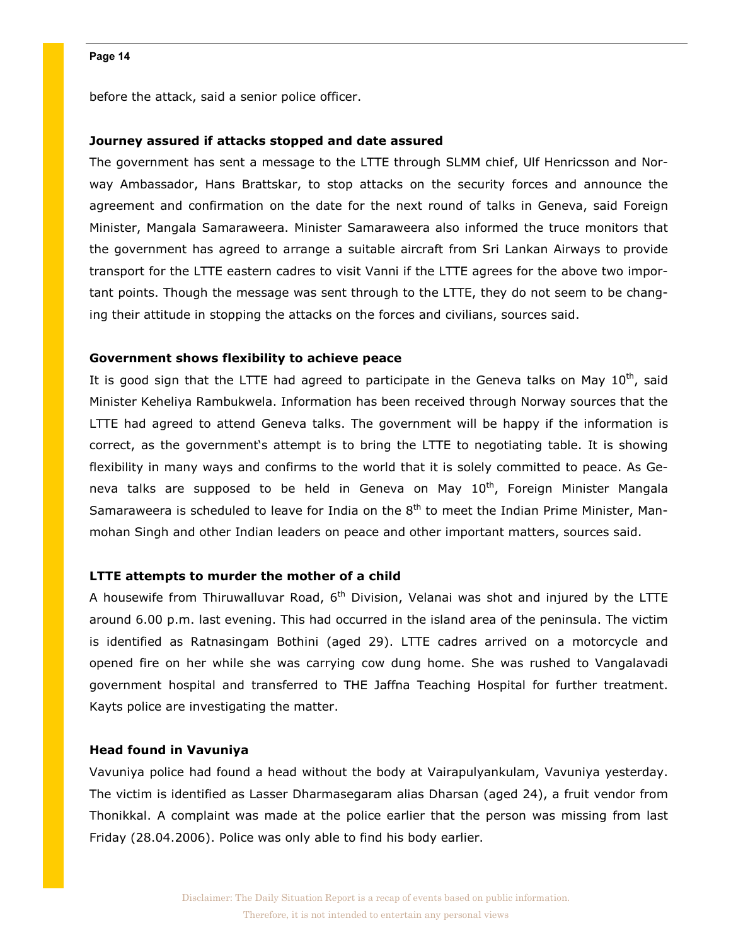before the attack, said a senior police officer.

# Journey assured if attacks stopped and date assured

The government has sent a message to the LTTE through SLMM chief, Ulf Henricsson and Norway Ambassador, Hans Brattskar, to stop attacks on the security forces and announce the agreement and confirmation on the date for the next round of talks in Geneva, said Foreign Minister, Mangala Samaraweera. Minister Samaraweera also informed the truce monitors that the government has agreed to arrange a suitable aircraft from Sri Lankan Airways to provide transport for the LTTE eastern cadres to visit Vanni if the LTTE agrees for the above two important points. Though the message was sent through to the LTTE, they do not seem to be changing their attitude in stopping the attacks on the forces and civilians, sources said.

# Government shows flexibility to achieve peace

It is good sign that the LTTE had agreed to participate in the Geneva talks on May  $10^{th}$ , said Minister Keheliya Rambukwela. Information has been received through Norway sources that the LTTE had agreed to attend Geneva talks. The government will be happy if the information is correct, as the government's attempt is to bring the LTTE to negotiating table. It is showing flexibility in many ways and confirms to the world that it is solely committed to peace. As Geneva talks are supposed to be held in Geneva on May 10<sup>th</sup>, Foreign Minister Mangala Samaraweera is scheduled to leave for India on the 8<sup>th</sup> to meet the Indian Prime Minister, Manmohan Singh and other Indian leaders on peace and other important matters, sources said.

# LTTE attempts to murder the mother of a child

A housewife from Thiruwalluvar Road,  $6<sup>th</sup>$  Division, Velanai was shot and injured by the LTTE around 6.00 p.m. last evening. This had occurred in the island area of the peninsula. The victim is identified as Ratnasingam Bothini (aged 29). LTTE cadres arrived on a motorcycle and opened fire on her while she was carrying cow dung home. She was rushed to Vangalavadi government hospital and transferred to THE Jaffna Teaching Hospital for further treatment. Kayts police are investigating the matter.

# Head found in Vavuniya

Vavuniya police had found a head without the body at Vairapulyankulam, Vavuniya yesterday. The victim is identified as Lasser Dharmasegaram alias Dharsan (aged 24), a fruit vendor from Thonikkal. A complaint was made at the police earlier that the person was missing from last Friday (28.04.2006). Police was only able to find his body earlier.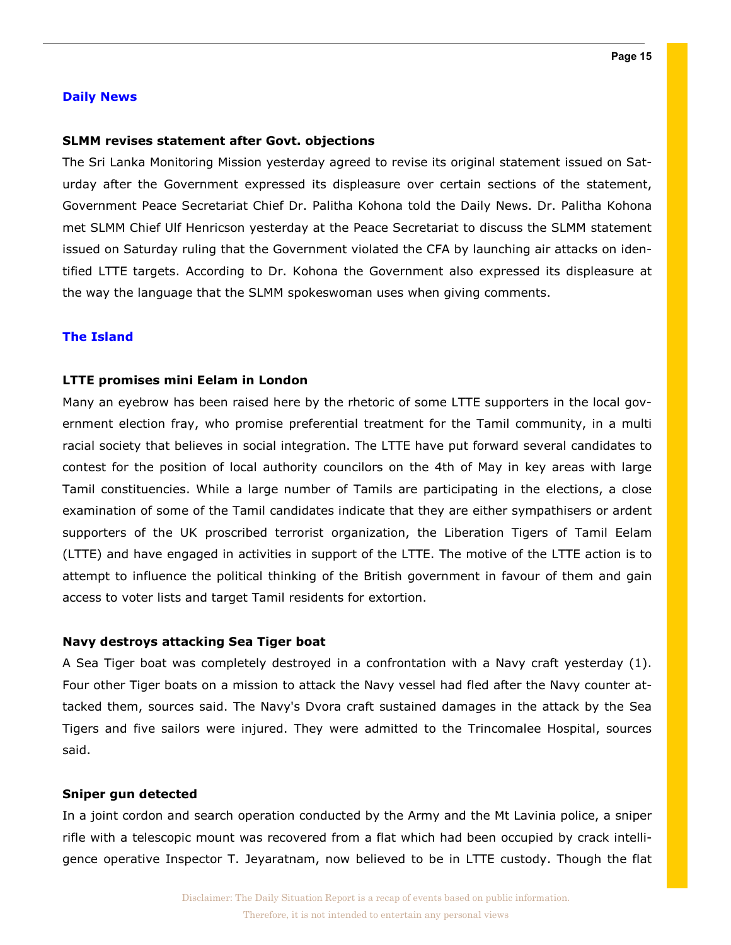# Daily News

# SLMM revises statement after Govt. objections

The Sri Lanka Monitoring Mission yesterday agreed to revise its original statement issued on Saturday after the Government expressed its displeasure over certain sections of the statement, Government Peace Secretariat Chief Dr. Palitha Kohona told the Daily News. Dr. Palitha Kohona met SLMM Chief Ulf Henricson yesterday at the Peace Secretariat to discuss the SLMM statement issued on Saturday ruling that the Government violated the CFA by launching air attacks on identified LTTE targets. According to Dr. Kohona the Government also expressed its displeasure at the way the language that the SLMM spokeswoman uses when giving comments.

# The Island

# LTTE promises mini Eelam in London

Many an eyebrow has been raised here by the rhetoric of some LTTE supporters in the local government election fray, who promise preferential treatment for the Tamil community, in a multi racial society that believes in social integration. The LTTE have put forward several candidates to contest for the position of local authority councilors on the 4th of May in key areas with large Tamil constituencies. While a large number of Tamils are participating in the elections, a close examination of some of the Tamil candidates indicate that they are either sympathisers or ardent supporters of the UK proscribed terrorist organization, the Liberation Tigers of Tamil Eelam (LTTE) and have engaged in activities in support of the LTTE. The motive of the LTTE action is to attempt to influence the political thinking of the British government in favour of them and gain access to voter lists and target Tamil residents for extortion.

### Navy destroys attacking Sea Tiger boat

A Sea Tiger boat was completely destroyed in a confrontation with a Navy craft yesterday (1). Four other Tiger boats on a mission to attack the Navy vessel had fled after the Navy counter attacked them, sources said. The Navy's Dvora craft sustained damages in the attack by the Sea Tigers and five sailors were injured. They were admitted to the Trincomalee Hospital, sources said.

# Sniper gun detected

In a joint cordon and search operation conducted by the Army and the Mt Lavinia police, a sniper rifle with a telescopic mount was recovered from a flat which had been occupied by crack intelligence operative Inspector T. Jeyaratnam, now believed to be in LTTE custody. Though the flat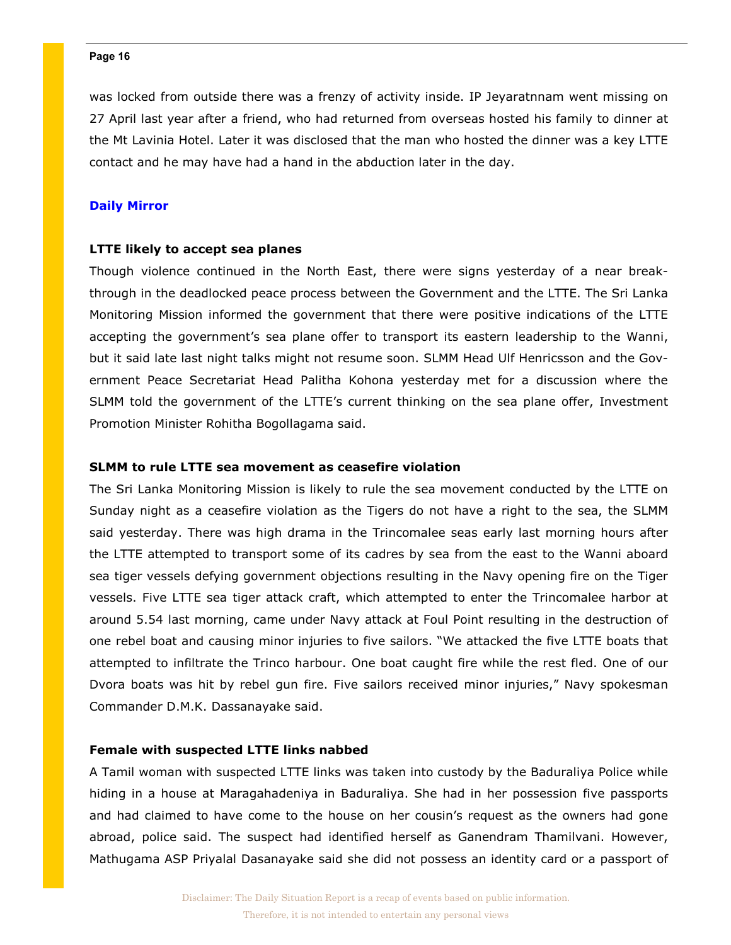was locked from outside there was a frenzy of activity inside. IP Jeyaratnnam went missing on 27 April last year after a friend, who had returned from overseas hosted his family to dinner at the Mt Lavinia Hotel. Later it was disclosed that the man who hosted the dinner was a key LTTE contact and he may have had a hand in the abduction later in the day.

# Daily Mirror

# LTTE likely to accept sea planes

Though violence continued in the North East, there were signs yesterday of a near breakthrough in the deadlocked peace process between the Government and the LTTE. The Sri Lanka Monitoring Mission informed the government that there were positive indications of the LTTE accepting the government's sea plane offer to transport its eastern leadership to the Wanni, but it said late last night talks might not resume soon. SLMM Head Ulf Henricsson and the Government Peace Secretariat Head Palitha Kohona yesterday met for a discussion where the SLMM told the government of the LTTE's current thinking on the sea plane offer, Investment Promotion Minister Rohitha Bogollagama said.

# SLMM to rule LTTE sea movement as ceasefire violation

The Sri Lanka Monitoring Mission is likely to rule the sea movement conducted by the LTTE on Sunday night as a ceasefire violation as the Tigers do not have a right to the sea, the SLMM said yesterday. There was high drama in the Trincomalee seas early last morning hours after the LTTE attempted to transport some of its cadres by sea from the east to the Wanni aboard sea tiger vessels defying government objections resulting in the Navy opening fire on the Tiger vessels. Five LTTE sea tiger attack craft, which attempted to enter the Trincomalee harbor at around 5.54 last morning, came under Navy attack at Foul Point resulting in the destruction of one rebel boat and causing minor injuries to five sailors. "We attacked the five LTTE boats that attempted to infiltrate the Trinco harbour. One boat caught fire while the rest fled. One of our Dvora boats was hit by rebel gun fire. Five sailors received minor injuries," Navy spokesman Commander D.M.K. Dassanayake said.

# Female with suspected LTTE links nabbed

A Tamil woman with suspected LTTE links was taken into custody by the Baduraliya Police while hiding in a house at Maragahadeniya in Baduraliya. She had in her possession five passports and had claimed to have come to the house on her cousin's request as the owners had gone abroad, police said. The suspect had identified herself as Ganendram Thamilvani. However, Mathugama ASP Priyalal Dasanayake said she did not possess an identity card or a passport of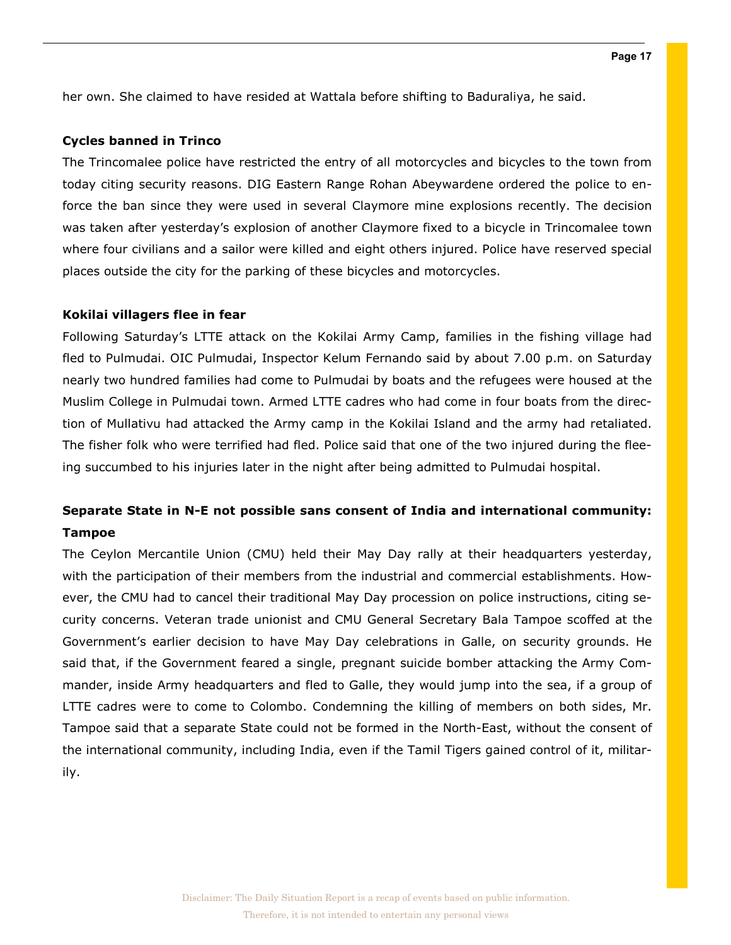her own. She claimed to have resided at Wattala before shifting to Baduraliya, he said.

# Cycles banned in Trinco

The Trincomalee police have restricted the entry of all motorcycles and bicycles to the town from today citing security reasons. DIG Eastern Range Rohan Abeywardene ordered the police to enforce the ban since they were used in several Claymore mine explosions recently. The decision was taken after yesterday's explosion of another Claymore fixed to a bicycle in Trincomalee town where four civilians and a sailor were killed and eight others injured. Police have reserved special places outside the city for the parking of these bicycles and motorcycles.

# Kokilai villagers flee in fear

Following Saturday's LTTE attack on the Kokilai Army Camp, families in the fishing village had fled to Pulmudai. OIC Pulmudai, Inspector Kelum Fernando said by about 7.00 p.m. on Saturday nearly two hundred families had come to Pulmudai by boats and the refugees were housed at the Muslim College in Pulmudai town. Armed LTTE cadres who had come in four boats from the direction of Mullativu had attacked the Army camp in the Kokilai Island and the army had retaliated. The fisher folk who were terrified had fled. Police said that one of the two injured during the fleeing succumbed to his injuries later in the night after being admitted to Pulmudai hospital.

# Separate State in N-E not possible sans consent of India and international community: Tampoe

The Ceylon Mercantile Union (CMU) held their May Day rally at their headquarters yesterday, with the participation of their members from the industrial and commercial establishments. However, the CMU had to cancel their traditional May Day procession on police instructions, citing security concerns. Veteran trade unionist and CMU General Secretary Bala Tampoe scoffed at the Government's earlier decision to have May Day celebrations in Galle, on security grounds. He said that, if the Government feared a single, pregnant suicide bomber attacking the Army Commander, inside Army headquarters and fled to Galle, they would jump into the sea, if a group of LTTE cadres were to come to Colombo. Condemning the killing of members on both sides, Mr. Tampoe said that a separate State could not be formed in the North-East, without the consent of the international community, including India, even if the Tamil Tigers gained control of it, militarily.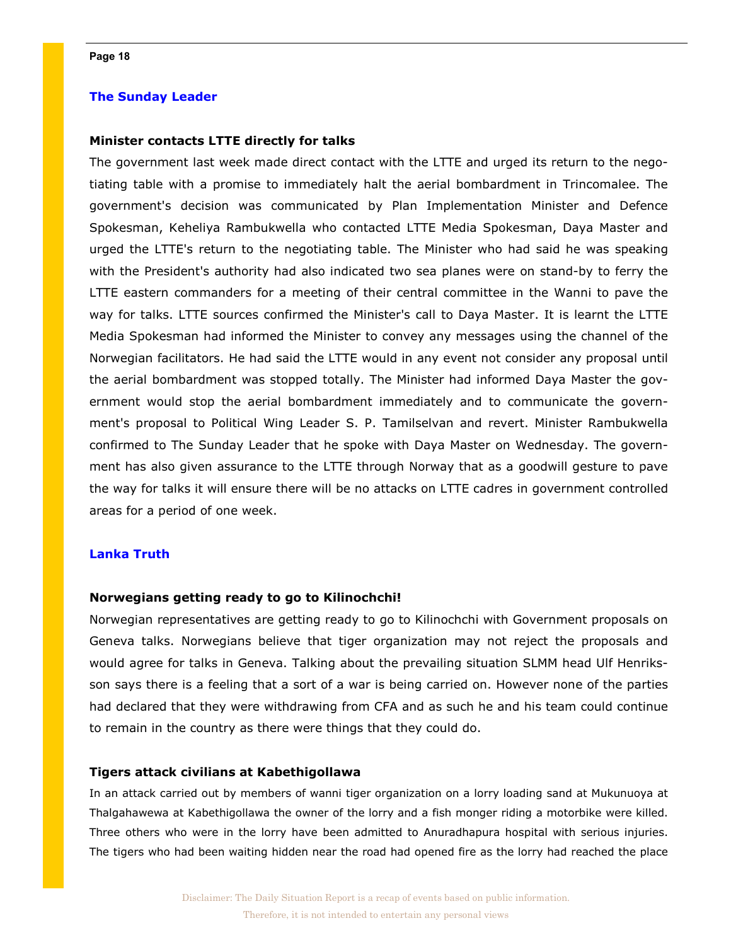# The Sunday Leader

# Minister contacts LTTE directly for talks

The government last week made direct contact with the LTTE and urged its return to the negotiating table with a promise to immediately halt the aerial bombardment in Trincomalee. The government's decision was communicated by Plan Implementation Minister and Defence Spokesman, Keheliya Rambukwella who contacted LTTE Media Spokesman, Daya Master and urged the LTTE's return to the negotiating table. The Minister who had said he was speaking with the President's authority had also indicated two sea planes were on stand-by to ferry the LTTE eastern commanders for a meeting of their central committee in the Wanni to pave the way for talks. LTTE sources confirmed the Minister's call to Daya Master. It is learnt the LTTE Media Spokesman had informed the Minister to convey any messages using the channel of the Norwegian facilitators. He had said the LTTE would in any event not consider any proposal until the aerial bombardment was stopped totally. The Minister had informed Daya Master the government would stop the aerial bombardment immediately and to communicate the government's proposal to Political Wing Leader S. P. Tamilselvan and revert. Minister Rambukwella confirmed to The Sunday Leader that he spoke with Daya Master on Wednesday. The government has also given assurance to the LTTE through Norway that as a goodwill gesture to pave the way for talks it will ensure there will be no attacks on LTTE cadres in government controlled areas for a period of one week.

# Lanka Truth

### Norwegians getting ready to go to Kilinochchi!

Norwegian representatives are getting ready to go to Kilinochchi with Government proposals on Geneva talks. Norwegians believe that tiger organization may not reject the proposals and would agree for talks in Geneva. Talking about the prevailing situation SLMM head Ulf Henriksson says there is a feeling that a sort of a war is being carried on. However none of the parties had declared that they were withdrawing from CFA and as such he and his team could continue to remain in the country as there were things that they could do.

### Tigers attack civilians at Kabethigollawa

In an attack carried out by members of wanni tiger organization on a lorry loading sand at Mukunuoya at Thalgahawewa at Kabethigollawa the owner of the lorry and a fish monger riding a motorbike were killed. Three others who were in the lorry have been admitted to Anuradhapura hospital with serious injuries. The tigers who had been waiting hidden near the road had opened fire as the lorry had reached the place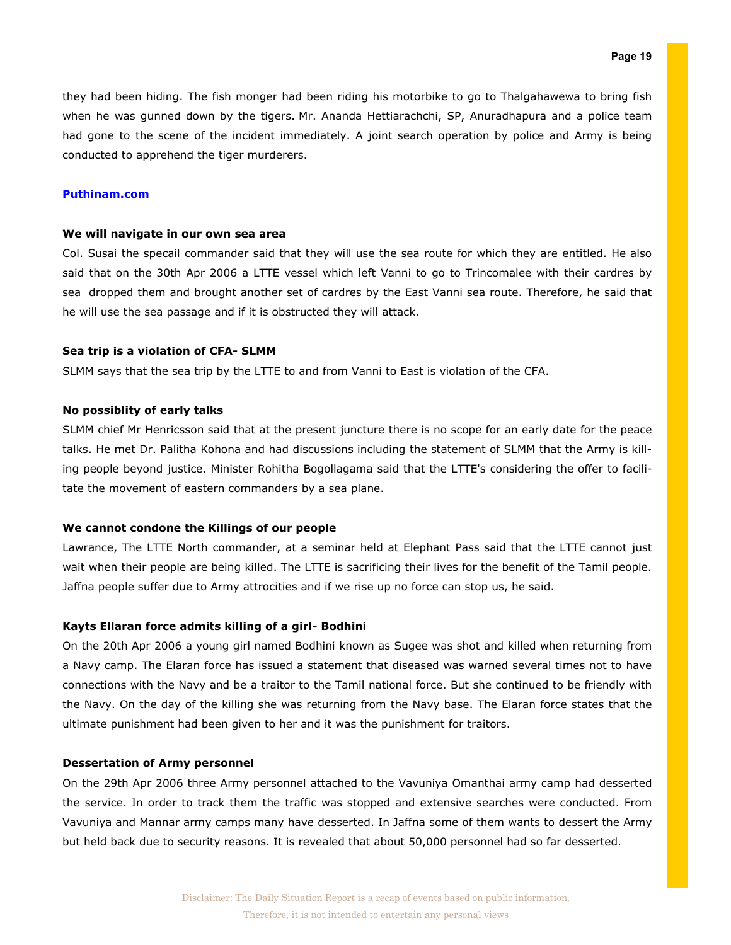they had been hiding. The fish monger had been riding his motorbike to go to Thalgahawewa to bring fish when he was gunned down by the tigers. Mr. Ananda Hettiarachchi, SP, Anuradhapura and a police team had gone to the scene of the incident immediately. A joint search operation by police and Army is being conducted to apprehend the tiger murderers.

# Puthinam.com

### We will navigate in our own sea area

Col. Susai the specail commander said that they will use the sea route for which they are entitled. He also said that on the 30th Apr 2006 a LTTE vessel which left Vanni to go to Trincomalee with their cardres by sea dropped them and brought another set of cardres by the East Vanni sea route. Therefore, he said that he will use the sea passage and if it is obstructed they will attack.

#### Sea trip is a violation of CFA- SLMM

SLMM says that the sea trip by the LTTE to and from Vanni to East is violation of the CFA.

### No possiblity of early talks

SLMM chief Mr Henricsson said that at the present juncture there is no scope for an early date for the peace talks. He met Dr. Palitha Kohona and had discussions including the statement of SLMM that the Army is killing people beyond justice. Minister Rohitha Bogollagama said that the LTTE's considering the offer to facilitate the movement of eastern commanders by a sea plane.

### We cannot condone the Killings of our people

Lawrance, The LTTE North commander, at a seminar held at Elephant Pass said that the LTTE cannot just wait when their people are being killed. The LTTE is sacrificing their lives for the benefit of the Tamil people. Jaffna people suffer due to Army attrocities and if we rise up no force can stop us, he said.

### Kayts Ellaran force admits killing of a girl- Bodhini

On the 20th Apr 2006 a young girl named Bodhini known as Sugee was shot and killed when returning from a Navy camp. The Elaran force has issued a statement that diseased was warned several times not to have connections with the Navy and be a traitor to the Tamil national force. But she continued to be friendly with the Navy. On the day of the killing she was returning from the Navy base. The Elaran force states that the ultimate punishment had been given to her and it was the punishment for traitors.

#### Dessertation of Army personnel

On the 29th Apr 2006 three Army personnel attached to the Vavuniya Omanthai army camp had desserted the service. In order to track them the traffic was stopped and extensive searches were conducted. From Vavuniya and Mannar army camps many have desserted. In Jaffna some of them wants to dessert the Army but held back due to security reasons. It is revealed that about 50,000 personnel had so far desserted.